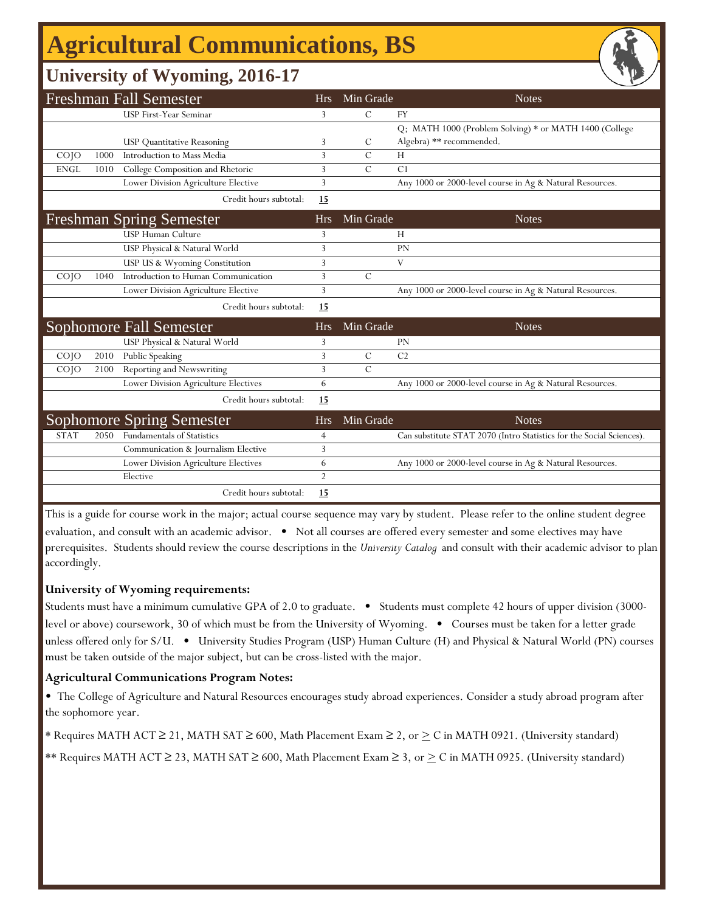# **Agricultural Communications, BS**

### **University of Wyoming, 2016-17**

|                 |      | <b>Freshman Fall Semester</b>        | <b>Hrs</b>     | Min Grade      | <b>Notes</b>                                                         |
|-----------------|------|--------------------------------------|----------------|----------------|----------------------------------------------------------------------|
|                 |      | <b>USP First-Year Seminar</b>        | 3              | $\mathcal{C}$  | <b>FY</b>                                                            |
|                 |      |                                      |                |                | Q; MATH 1000 (Problem Solving) * or MATH 1400 (College               |
|                 |      | <b>USP</b> Quantitative Reasoning    | 3              | C              | Algebra) ** recommended.                                             |
| CO <sub>1</sub> | 1000 | Introduction to Mass Media           | 3              | C              | H                                                                    |
| <b>ENGL</b>     | 1010 | College Composition and Rhetoric     | 3              | $\overline{C}$ | C <sub>1</sub>                                                       |
|                 |      | Lower Division Agriculture Elective  | 3              |                | Any 1000 or 2000-level course in Ag & Natural Resources.             |
|                 |      | Credit hours subtotal:               | 15             |                |                                                                      |
|                 |      | <b>Freshman Spring Semester</b>      | <b>Hrs</b>     | Min Grade      | <b>Notes</b>                                                         |
|                 |      | <b>USP Human Culture</b>             | 3              |                | H                                                                    |
|                 |      | USP Physical & Natural World         | 3              |                | PN                                                                   |
|                 |      | USP US & Wyoming Constitution        | 3              |                | V                                                                    |
| CO <sub>1</sub> | 1040 | Introduction to Human Communication  | 3              | $\mathcal{C}$  |                                                                      |
|                 |      | Lower Division Agriculture Elective  | 3              |                | Any 1000 or 2000-level course in Ag & Natural Resources.             |
|                 |      | Credit hours subtotal:               | 15             |                |                                                                      |
|                 |      | <b>Sophomore Fall Semester</b>       | <b>Hrs</b>     | Min Grade      | <b>Notes</b>                                                         |
|                 |      | USP Physical & Natural World         | 3              |                | <b>PN</b>                                                            |
| CO <sub>1</sub> | 2010 | Public Speaking                      | 3              | $\mathcal{C}$  | C <sub>2</sub>                                                       |
| $CO$ $JO$       | 2100 | Reporting and Newswriting            | 3              | $\mathcal{C}$  |                                                                      |
|                 |      | Lower Division Agriculture Electives | 6              |                | Any 1000 or 2000-level course in Ag & Natural Resources.             |
|                 |      | Credit hours subtotal:               | 15             |                |                                                                      |
|                 |      | <b>Sophomore Spring Semester</b>     | <b>Hrs</b>     | Min Grade      | <b>Notes</b>                                                         |
| <b>STAT</b>     | 2050 | <b>Fundamentals of Statistics</b>    | $\overline{4}$ |                | Can substitute STAT 2070 (Intro Statistics for the Social Sciences). |
|                 |      | Communication & Journalism Elective  | 3              |                |                                                                      |
|                 |      | Lower Division Agriculture Electives | 6              |                | Any 1000 or 2000-level course in Ag & Natural Resources.             |
|                 |      | Elective                             | 2              |                |                                                                      |
|                 |      | Credit hours subtotal:               | 15             |                |                                                                      |

This is a guide for course work in the major; actual course sequence may vary by student. Please refer to the online student degree evaluation, and consult with an academic advisor. • Not all courses are offered every semester and some electives may have prerequisites. Students should review the course descriptions in the *University Catalog* and consult with their academic advisor to plan accordingly.

#### **University of Wyoming requirements:**

Students must have a minimum cumulative GPA of 2.0 to graduate. • Students must complete 42 hours of upper division (3000 level or above) coursework, 30 of which must be from the University of Wyoming. • Courses must be taken for a letter grade unless offered only for S/U. • University Studies Program (USP) Human Culture (H) and Physical & Natural World (PN) courses must be taken outside of the major subject, but can be cross-listed with the major.

#### **Agricultural Communications Program Notes:**

• The College of Agriculture and Natural Resources encourages study abroad experiences. Consider a study abroad program after the sophomore year.

\* Requires MATH ACT ≥ 21, MATH SAT ≥ 600, Math Placement Exam ≥ 2, or  $\geq C$  in MATH 0921. (University standard)

\*\* Requires MATH ACT  $\geq$  23, MATH SAT  $\geq$  600, Math Placement Exam  $\geq$  3, or  $\geq$  C in MATH 0925. (University standard)